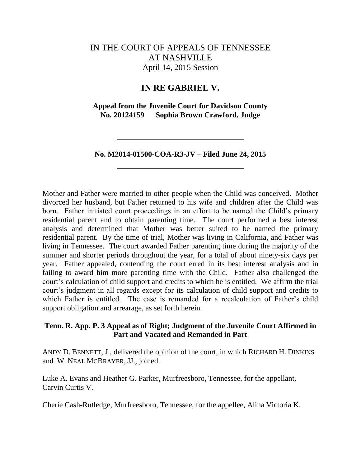# IN THE COURT OF APPEALS OF TENNESSEE AT NASHVILLE April 14, 2015 Session

# **IN RE GABRIEL V.**

**Appeal from the Juvenile Court for Davidson County No. 20124159 Sophia Brown Crawford, Judge**

**No. M2014-01500-COA-R3-JV – Filed June 24, 2015**

Mother and Father were married to other people when the Child was conceived. Mother divorced her husband, but Father returned to his wife and children after the Child was born. Father initiated court proceedings in an effort to be named the Child"s primary residential parent and to obtain parenting time. The court performed a best interest analysis and determined that Mother was better suited to be named the primary residential parent. By the time of trial, Mother was living in California, and Father was living in Tennessee. The court awarded Father parenting time during the majority of the summer and shorter periods throughout the year, for a total of about ninety-six days per year. Father appealed, contending the court erred in its best interest analysis and in failing to award him more parenting time with the Child. Father also challenged the court"s calculation of child support and credits to which he is entitled. We affirm the trial court"s judgment in all regards except for its calculation of child support and credits to which Father is entitled. The case is remanded for a recalculation of Father's child support obligation and arrearage, as set forth herein.

# **Tenn. R. App. P. 3 Appeal as of Right; Judgment of the Juvenile Court Affirmed in Part and Vacated and Remanded in Part**

ANDY D. BENNETT, J., delivered the opinion of the court, in which RICHARD H. DINKINS and W. NEAL MCBRAYER, JJ., joined.

Luke A. Evans and Heather G. Parker, Murfreesboro, Tennessee, for the appellant, Carvin Curtis V.

Cherie Cash-Rutledge, Murfreesboro, Tennessee, for the appellee, Alina Victoria K.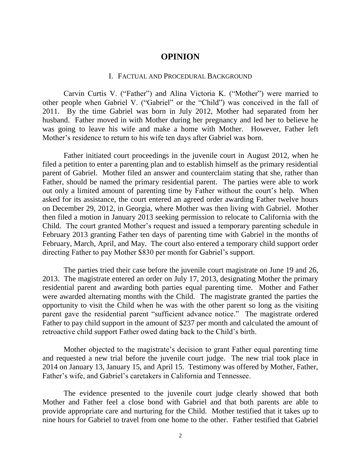# **OPINION**

#### I. FACTUAL AND PROCEDURAL BACKGROUND

Carvin Curtis V. ("Father") and Alina Victoria K. ("Mother") were married to other people when Gabriel V. ("Gabriel" or the "Child") was conceived in the fall of 2011. By the time Gabriel was born in July 2012, Mother had separated from her husband. Father moved in with Mother during her pregnancy and led her to believe he was going to leave his wife and make a home with Mother. However, Father left Mother"s residence to return to his wife ten days after Gabriel was born.

Father initiated court proceedings in the juvenile court in August 2012, when he filed a petition to enter a parenting plan and to establish himself as the primary residential parent of Gabriel. Mother filed an answer and counterclaim stating that she, rather than Father, should be named the primary residential parent. The parties were able to work out only a limited amount of parenting time by Father without the court's help. When asked for its assistance, the court entered an agreed order awarding Father twelve hours on December 29, 2012, in Georgia, where Mother was then living with Gabriel. Mother then filed a motion in January 2013 seeking permission to relocate to California with the Child. The court granted Mother"s request and issued a temporary parenting schedule in February 2013 granting Father ten days of parenting time with Gabriel in the months of February, March, April, and May. The court also entered a temporary child support order directing Father to pay Mother \$830 per month for Gabriel"s support.

The parties tried their case before the juvenile court magistrate on June 19 and 26, 2013. The magistrate entered an order on July 17, 2013, designating Mother the primary residential parent and awarding both parties equal parenting time. Mother and Father were awarded alternating months with the Child. The magistrate granted the parties the opportunity to visit the Child when he was with the other parent so long as the visiting parent gave the residential parent "sufficient advance notice." The magistrate ordered Father to pay child support in the amount of \$237 per month and calculated the amount of retroactive child support Father owed dating back to the Child"s birth.

Mother objected to the magistrate's decision to grant Father equal parenting time and requested a new trial before the juvenile court judge. The new trial took place in 2014 on January 13, January 15, and April 15. Testimony was offered by Mother, Father, Father"s wife, and Gabriel"s caretakers in California and Tennessee.

The evidence presented to the juvenile court judge clearly showed that both Mother and Father feel a close bond with Gabriel and that both parents are able to provide appropriate care and nurturing for the Child. Mother testified that it takes up to nine hours for Gabriel to travel from one home to the other. Father testified that Gabriel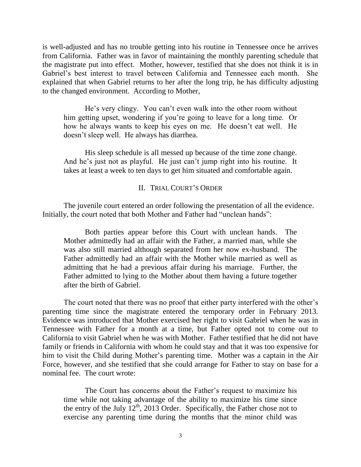is well-adjusted and has no trouble getting into his routine in Tennessee once he arrives from California. Father was in favor of maintaining the monthly parenting schedule that the magistrate put into effect. Mother, however, testified that she does not think it is in Gabriel"s best interest to travel between California and Tennessee each month. She explained that when Gabriel returns to her after the long trip, he has difficulty adjusting to the changed environment. According to Mother,

He's very clingy. You can't even walk into the other room without him getting upset, wondering if you"re going to leave for a long time. Or how he always wants to keep his eyes on me. He doesn"t eat well. He doesn"t sleep well. He always has diarrhea.

His sleep schedule is all messed up because of the time zone change. And he's just not as playful. He just can't jump right into his routine. It takes at least a week to ten days to get him situated and comfortable again.

#### II. TRIAL COURT"S ORDER

The juvenile court entered an order following the presentation of all the evidence. Initially, the court noted that both Mother and Father had "unclean hands":

Both parties appear before this Court with unclean hands. The Mother admittedly had an affair with the Father, a married man, while she was also still married although separated from her now ex-husband. The Father admittedly had an affair with the Mother while married as well as admitting that he had a previous affair during his marriage. Further, the Father admitted to lying to the Mother about them having a future together after the birth of Gabriel.

The court noted that there was no proof that either party interfered with the other's parenting time since the magistrate entered the temporary order in February 2013. Evidence was introduced that Mother exercised her right to visit Gabriel when he was in Tennessee with Father for a month at a time, but Father opted not to come out to California to visit Gabriel when he was with Mother. Father testified that he did not have family or friends in California with whom he could stay and that it was too expensive for him to visit the Child during Mother's parenting time. Mother was a captain in the Air Force, however, and she testified that she could arrange for Father to stay on base for a nominal fee. The court wrote:

The Court has concerns about the Father"s request to maximize his time while not taking advantage of the ability to maximize his time since the entry of the July  $12<sup>th</sup>$ , 2013 Order. Specifically, the Father chose not to exercise any parenting time during the months that the minor child was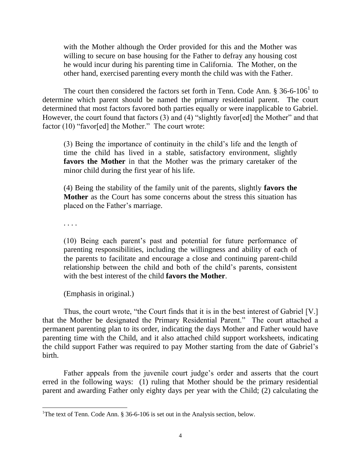with the Mother although the Order provided for this and the Mother was willing to secure on base housing for the Father to defray any housing cost he would incur during his parenting time in California. The Mother, on the other hand, exercised parenting every month the child was with the Father.

The court then considered the factors set forth in Tenn. Code Ann.  $\S 36-6-106^1$  to determine which parent should be named the primary residential parent. The court determined that most factors favored both parties equally or were inapplicable to Gabriel. However, the court found that factors (3) and (4) "slightly favor[ed] the Mother" and that factor (10) "favor[ed] the Mother." The court wrote:

(3) Being the importance of continuity in the child"s life and the length of time the child has lived in a stable, satisfactory environment, slightly **favors the Mother** in that the Mother was the primary caretaker of the minor child during the first year of his life.

(4) Being the stability of the family unit of the parents, slightly **favors the Mother** as the Court has some concerns about the stress this situation has placed on the Father"s marriage.

. . . .

 $\overline{a}$ 

(10) Being each parent"s past and potential for future performance of parenting responsibilities, including the willingness and ability of each of the parents to facilitate and encourage a close and continuing parent-child relationship between the child and both of the child"s parents, consistent with the best interest of the child **favors the Mother**.

(Emphasis in original.)

Thus, the court wrote, "the Court finds that it is in the best interest of Gabriel [V.] that the Mother be designated the Primary Residential Parent." The court attached a permanent parenting plan to its order, indicating the days Mother and Father would have parenting time with the Child, and it also attached child support worksheets, indicating the child support Father was required to pay Mother starting from the date of Gabriel"s birth.

Father appeals from the juvenile court judge's order and asserts that the court erred in the following ways: (1) ruling that Mother should be the primary residential parent and awarding Father only eighty days per year with the Child; (2) calculating the

<sup>&</sup>lt;sup>1</sup>The text of Tenn. Code Ann. § 36-6-106 is set out in the Analysis section, below.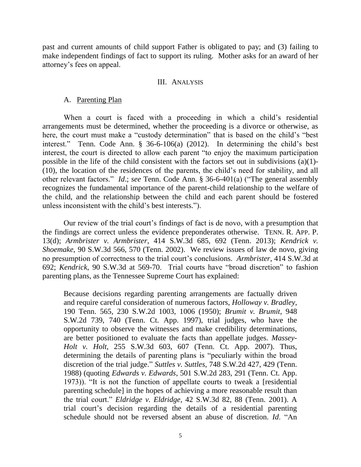past and current amounts of child support Father is obligated to pay; and (3) failing to make independent findings of fact to support its ruling. Mother asks for an award of her attorney"s fees on appeal.

#### III. ANALYSIS

### A. Parenting Plan

When a court is faced with a proceeding in which a child's residential arrangements must be determined, whether the proceeding is a divorce or otherwise, as here, the court must make a "custody determination" that is based on the child"s "best interest." Tenn. Code Ann. § 36-6-106(a) (2012). In determining the child's best interest, the court is directed to allow each parent "to enjoy the maximum participation possible in the life of the child consistent with the factors set out in subdivisions (a)(1)- (10), the location of the residences of the parents, the child"s need for stability, and all other relevant factors." *Id*.; *see* Tenn. Code Ann. § 36-6-401(a) ("The general assembly recognizes the fundamental importance of the parent-child relationship to the welfare of the child, and the relationship between the child and each parent should be fostered unless inconsistent with the child"s best interests.").

Our review of the trial court"s findings of fact is de novo, with a presumption that the findings are correct unless the evidence preponderates otherwise. TENN. R. APP. P. 13(d); *Armbrister v. Armbrister*, 414 S.W.3d 685, 692 (Tenn. 2013); *Kendrick v. Shoemake*, 90 S.W.3d 566, 570 (Tenn. 2002). We review issues of law de novo, giving no presumption of correctness to the trial court"s conclusions. *Armbrister*, 414 S.W.3d at 692; *Kendrick*, 90 S.W.3d at 569-70. Trial courts have "broad discretion" to fashion parenting plans, as the Tennessee Supreme Court has explained:

Because decisions regarding parenting arrangements are factually driven and require careful consideration of numerous factors, *Holloway v. Bradley*, 190 Tenn. 565, 230 S.W.2d 1003, 1006 (1950); *Brumit v. Brumit*, 948 S.W.2d 739, 740 (Tenn. Ct. App. 1997), trial judges, who have the opportunity to observe the witnesses and make credibility determinations, are better positioned to evaluate the facts than appellate judges. *Massey-Holt v. Holt*, 255 S.W.3d 603, 607 (Tenn. Ct. App. 2007). Thus, determining the details of parenting plans is "peculiarly within the broad discretion of the trial judge." *Suttles v. Suttles*, 748 S.W.2d 427, 429 (Tenn. 1988) (quoting *Edwards v. Edwards*, 501 S.W.2d 283, 291 (Tenn. Ct. App. 1973)). "It is not the function of appellate courts to tweak a [residential parenting schedule] in the hopes of achieving a more reasonable result than the trial court." *Eldridge v. Eldridge*, 42 S.W.3d 82, 88 (Tenn. 2001). A trial court"s decision regarding the details of a residential parenting schedule should not be reversed absent an abuse of discretion. *Id*. "An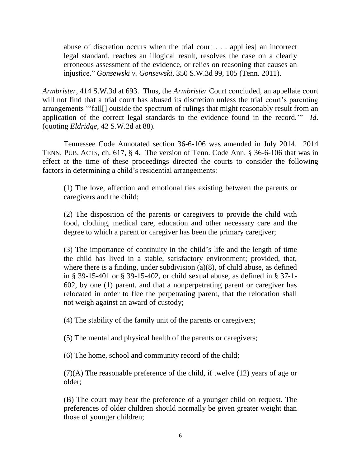abuse of discretion occurs when the trial court . . . appl[ies] an incorrect legal standard, reaches an illogical result, resolves the case on a clearly erroneous assessment of the evidence, or relies on reasoning that causes an injustice." *Gonsewski v. Gonsewski*, 350 S.W.3d 99, 105 (Tenn. 2011).

*Armbrister*, 414 S.W.3d at 693. Thus, the *Armbrister* Court concluded, an appellate court will not find that a trial court has abused its discretion unless the trial court's parenting arrangements ""fall[] outside the spectrum of rulings that might reasonably result from an application of the correct legal standards to the evidence found in the record."" *Id*. (quoting *Eldridge*, 42 S.W.2d at 88).

Tennessee Code Annotated section 36-6-106 was amended in July 2014. 2014 TENN. PUB. ACTS, ch. 617, § 4. The version of Tenn. Code Ann. § 36-6-106 that was in effect at the time of these proceedings directed the courts to consider the following factors in determining a child"s residential arrangements:

(1) The love, affection and emotional ties existing between the parents or caregivers and the child;

(2) The disposition of the parents or caregivers to provide the child with food, clothing, medical care, education and other necessary care and the degree to which a parent or caregiver has been the primary caregiver;

(3) The importance of continuity in the child"s life and the length of time the child has lived in a stable, satisfactory environment; provided, that, where there is a finding, under subdivision (a)(8), of child abuse, as defined in § 39-15-401 or § 39-15-402, or child sexual abuse, as defined in § 37-1- 602, by one (1) parent, and that a nonperpetrating parent or caregiver has relocated in order to flee the perpetrating parent, that the relocation shall not weigh against an award of custody;

(4) The stability of the family unit of the parents or caregivers;

(5) The mental and physical health of the parents or caregivers;

(6) The home, school and community record of the child;

(7)(A) The reasonable preference of the child, if twelve (12) years of age or older;

(B) The court may hear the preference of a younger child on request. The preferences of older children should normally be given greater weight than those of younger children;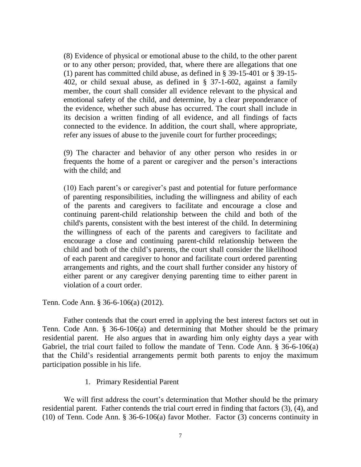(8) Evidence of physical or emotional abuse to the child, to the other parent or to any other person; provided, that, where there are allegations that one (1) parent has committed child abuse, as defined in § 39-15-401 or § 39-15- 402, or child sexual abuse, as defined in § 37-1-602, against a family member, the court shall consider all evidence relevant to the physical and emotional safety of the child, and determine, by a clear preponderance of the evidence, whether such abuse has occurred. The court shall include in its decision a written finding of all evidence, and all findings of facts connected to the evidence. In addition, the court shall, where appropriate, refer any issues of abuse to the juvenile court for further proceedings;

(9) The character and behavior of any other person who resides in or frequents the home of a parent or caregiver and the person"s interactions with the child; and

(10) Each parent"s or caregiver"s past and potential for future performance of parenting responsibilities, including the willingness and ability of each of the parents and caregivers to facilitate and encourage a close and continuing parent-child relationship between the child and both of the child's parents, consistent with the best interest of the child. In determining the willingness of each of the parents and caregivers to facilitate and encourage a close and continuing parent-child relationship between the child and both of the child"s parents, the court shall consider the likelihood of each parent and caregiver to honor and facilitate court ordered parenting arrangements and rights, and the court shall further consider any history of either parent or any caregiver denying parenting time to either parent in violation of a court order.

Tenn. Code Ann. § 36-6-106(a) (2012).

Father contends that the court erred in applying the best interest factors set out in Tenn. Code Ann. § 36-6-106(a) and determining that Mother should be the primary residential parent. He also argues that in awarding him only eighty days a year with Gabriel, the trial court failed to follow the mandate of Tenn. Code Ann. § 36-6-106(a) that the Child"s residential arrangements permit both parents to enjoy the maximum participation possible in his life.

1. Primary Residential Parent

We will first address the court's determination that Mother should be the primary residential parent. Father contends the trial court erred in finding that factors (3), (4), and (10) of Tenn. Code Ann. § 36-6-106(a) favor Mother. Factor (3) concerns continuity in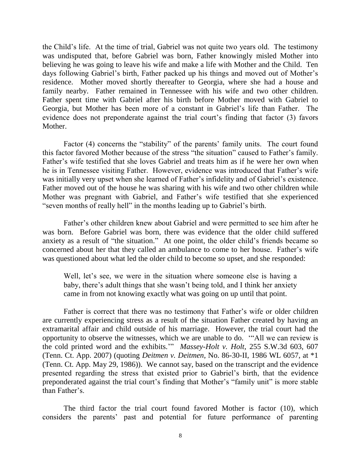the Child"s life. At the time of trial, Gabriel was not quite two years old. The testimony was undisputed that, before Gabriel was born, Father knowingly misled Mother into believing he was going to leave his wife and make a life with Mother and the Child. Ten days following Gabriel's birth, Father packed up his things and moved out of Mother's residence. Mother moved shortly thereafter to Georgia, where she had a house and family nearby. Father remained in Tennessee with his wife and two other children. Father spent time with Gabriel after his birth before Mother moved with Gabriel to Georgia, but Mother has been more of a constant in Gabriel"s life than Father. The evidence does not preponderate against the trial court's finding that factor (3) favors Mother.

Factor (4) concerns the "stability" of the parents' family units. The court found this factor favored Mother because of the stress "the situation" caused to Father"s family. Father's wife testified that she loves Gabriel and treats him as if he were her own when he is in Tennessee visiting Father. However, evidence was introduced that Father"s wife was initially very upset when she learned of Father's infidelity and of Gabriel's existence. Father moved out of the house he was sharing with his wife and two other children while Mother was pregnant with Gabriel, and Father"s wife testified that she experienced "seven months of really hell" in the months leading up to Gabriel"s birth.

Father's other children knew about Gabriel and were permitted to see him after he was born. Before Gabriel was born, there was evidence that the older child suffered anxiety as a result of "the situation." At one point, the older child"s friends became so concerned about her that they called an ambulance to come to her house. Father"s wife was questioned about what led the older child to become so upset, and she responded:

Well, let's see, we were in the situation where someone else is having a baby, there's adult things that she wasn't being told, and I think her anxiety came in from not knowing exactly what was going on up until that point.

Father is correct that there was no testimony that Father"s wife or older children are currently experiencing stress as a result of the situation Father created by having an extramarital affair and child outside of his marriage. However, the trial court had the opportunity to observe the witnesses, which we are unable to do. ""All we can review is the cold printed word and the exhibits."" *Massey-Holt v. Holt*, 255 S.W.3d 603, 607 (Tenn. Ct. App. 2007) (quoting *Deitmen v. Deitmen*, No. 86-30-II, 1986 WL 6057, at \*1 (Tenn. Ct. App. May 29, 1986)). We cannot say, based on the transcript and the evidence presented regarding the stress that existed prior to Gabriel"s birth, that the evidence preponderated against the trial court's finding that Mother's "family unit" is more stable than Father's

The third factor the trial court found favored Mother is factor (10), which considers the parents" past and potential for future performance of parenting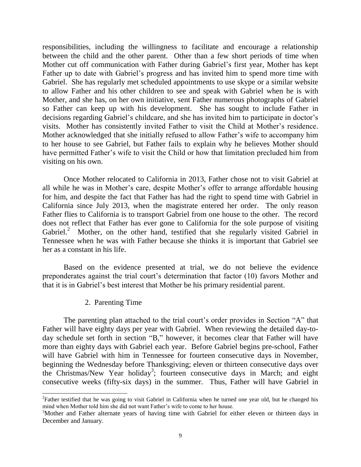responsibilities, including the willingness to facilitate and encourage a relationship between the child and the other parent. Other than a few short periods of time when Mother cut off communication with Father during Gabriel's first year, Mother has kept Father up to date with Gabriel"s progress and has invited him to spend more time with Gabriel. She has regularly met scheduled appointments to use skype or a similar website to allow Father and his other children to see and speak with Gabriel when he is with Mother, and she has, on her own initiative, sent Father numerous photographs of Gabriel so Father can keep up with his development. She has sought to include Father in decisions regarding Gabriel's childcare, and she has invited him to participate in doctor's visits. Mother has consistently invited Father to visit the Child at Mother"s residence. Mother acknowledged that she initially refused to allow Father"s wife to accompany him to her house to see Gabriel, but Father fails to explain why he believes Mother should have permitted Father"s wife to visit the Child or how that limitation precluded him from visiting on his own.

Once Mother relocated to California in 2013, Father chose not to visit Gabriel at all while he was in Mother"s care, despite Mother"s offer to arrange affordable housing for him, and despite the fact that Father has had the right to spend time with Gabriel in California since July 2013, when the magistrate entered her order. The only reason Father flies to California is to transport Gabriel from one house to the other. The record does not reflect that Father has ever gone to California for the sole purpose of visiting Gabriel.<sup>2</sup> Mother, on the other hand, testified that she regularly visited Gabriel in Tennessee when he was with Father because she thinks it is important that Gabriel see her as a constant in his life.

Based on the evidence presented at trial, we do not believe the evidence preponderates against the trial court"s determination that factor (10) favors Mother and that it is in Gabriel"s best interest that Mother be his primary residential parent.

# 2. Parenting Time

 $\overline{a}$ 

The parenting plan attached to the trial court's order provides in Section "A" that Father will have eighty days per year with Gabriel. When reviewing the detailed day-today schedule set forth in section "B," however, it becomes clear that Father will have more than eighty days with Gabriel each year. Before Gabriel begins pre-school, Father will have Gabriel with him in Tennessee for fourteen consecutive days in November, beginning the Wednesday before Thanksgiving; eleven or thirteen consecutive days over the Christmas/New Year holiday<sup>3</sup>; fourteen consecutive days in March; and eight consecutive weeks (fifty-six days) in the summer. Thus, Father will have Gabriel in

 $2^2$ Father testified that he was going to visit Gabriel in California when he turned one year old, but he changed his mind when Mother told him she did not want Father"s wife to come to her house.

<sup>&</sup>lt;sup>3</sup>Mother and Father alternate years of having time with Gabriel for either eleven or thirteen days in December and January.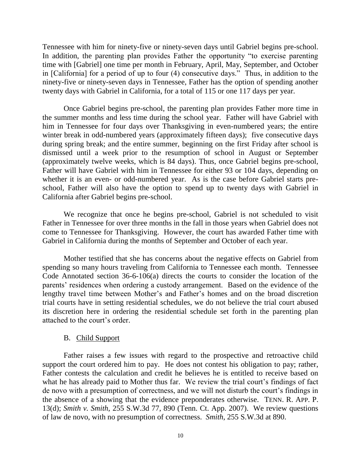Tennessee with him for ninety-five or ninety-seven days until Gabriel begins pre-school. In addition, the parenting plan provides Father the opportunity "to exercise parenting time with [Gabriel] one time per month in February, April, May, September, and October in [California] for a period of up to four (4) consecutive days." Thus, in addition to the ninety-five or ninety-seven days in Tennessee, Father has the option of spending another twenty days with Gabriel in California, for a total of 115 or one 117 days per year.

Once Gabriel begins pre-school, the parenting plan provides Father more time in the summer months and less time during the school year. Father will have Gabriel with him in Tennessee for four days over Thanksgiving in even-numbered years; the entire winter break in odd-numbered years (approximately fifteen days); five consecutive days during spring break; and the entire summer, beginning on the first Friday after school is dismissed until a week prior to the resumption of school in August or September (approximately twelve weeks, which is 84 days). Thus, once Gabriel begins pre-school, Father will have Gabriel with him in Tennessee for either 93 or 104 days, depending on whether it is an even- or odd-numbered year. As is the case before Gabriel starts preschool, Father will also have the option to spend up to twenty days with Gabriel in California after Gabriel begins pre-school.

We recognize that once he begins pre-school, Gabriel is not scheduled to visit Father in Tennessee for over three months in the fall in those years when Gabriel does not come to Tennessee for Thanksgiving. However, the court has awarded Father time with Gabriel in California during the months of September and October of each year.

Mother testified that she has concerns about the negative effects on Gabriel from spending so many hours traveling from California to Tennessee each month. Tennessee Code Annotated section 36-6-106(a) directs the courts to consider the location of the parents' residences when ordering a custody arrangement. Based on the evidence of the lengthy travel time between Mother"s and Father"s homes and on the broad discretion trial courts have in setting residential schedules, we do not believe the trial court abused its discretion here in ordering the residential schedule set forth in the parenting plan attached to the court"s order.

#### B. Child Support

Father raises a few issues with regard to the prospective and retroactive child support the court ordered him to pay. He does not contest his obligation to pay; rather, Father contests the calculation and credit he believes he is entitled to receive based on what he has already paid to Mother thus far. We review the trial court's findings of fact de novo with a presumption of correctness, and we will not disturb the court's findings in the absence of a showing that the evidence preponderates otherwise. TENN. R. APP. P. 13(d); *Smith v. Smith*, 255 S.W.3d 77, 890 (Tenn. Ct. App. 2007). We review questions of law de novo, with no presumption of correctness. *Smith*, 255 S.W.3d at 890.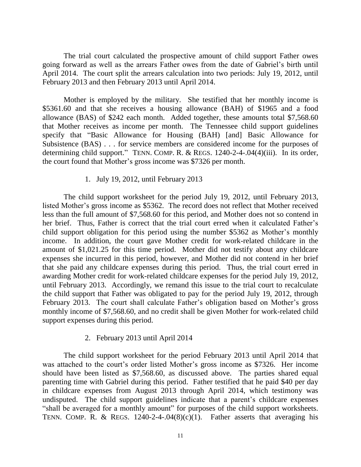The trial court calculated the prospective amount of child support Father owes going forward as well as the arrears Father owes from the date of Gabriel"s birth until April 2014. The court split the arrears calculation into two periods: July 19, 2012, until February 2013 and then February 2013 until April 2014.

Mother is employed by the military. She testified that her monthly income is \$5361.60 and that she receives a housing allowance (BAH) of \$1965 and a food allowance (BAS) of \$242 each month. Added together, these amounts total \$7,568.60 that Mother receives as income per month. The Tennessee child support guidelines specify that "Basic Allowance for Housing (BAH) [and] Basic Allowance for Subsistence (BAS) . . . for service members are considered income for the purposes of determining child support." TENN. COMP. R. & REGS. 1240-2-4-.04(4)(iii). In its order, the court found that Mother"s gross income was \$7326 per month.

# 1. July 19, 2012, until February 2013

The child support worksheet for the period July 19, 2012, until February 2013, listed Mother"s gross income as \$5362. The record does not reflect that Mother received less than the full amount of \$7,568.60 for this period, and Mother does not so contend in her brief. Thus, Father is correct that the trial court erred when it calculated Father"s child support obligation for this period using the number \$5362 as Mother"s monthly income. In addition, the court gave Mother credit for work-related childcare in the amount of \$1,021.25 for this time period. Mother did not testify about any childcare expenses she incurred in this period, however, and Mother did not contend in her brief that she paid any childcare expenses during this period. Thus, the trial court erred in awarding Mother credit for work-related childcare expenses for the period July 19, 2012, until February 2013. Accordingly, we remand this issue to the trial court to recalculate the child support that Father was obligated to pay for the period July 19, 2012, through February 2013. The court shall calculate Father's obligation based on Mother's gross monthly income of \$7,568.60, and no credit shall be given Mother for work-related child support expenses during this period.

# 2. February 2013 until April 2014

The child support worksheet for the period February 2013 until April 2014 that was attached to the court's order listed Mother's gross income as \$7326. Her income should have been listed as \$7,568.60, as discussed above. The parties shared equal parenting time with Gabriel during this period. Father testified that he paid \$40 per day in childcare expenses from August 2013 through April 2014, which testimony was undisputed. The child support guidelines indicate that a parent's childcare expenses "shall be averaged for a monthly amount" for purposes of the child support worksheets. TENN. COMP. R. & REGS.  $1240-2-4-0.04(8)(c)(1)$ . Father asserts that averaging his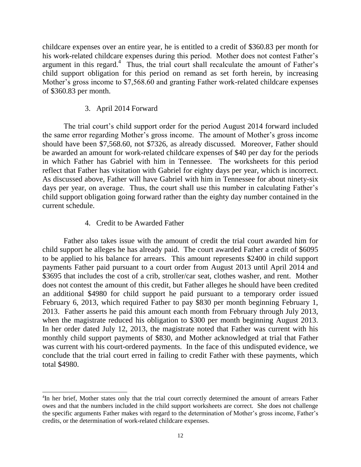childcare expenses over an entire year, he is entitled to a credit of \$360.83 per month for his work-related childcare expenses during this period. Mother does not contest Father's argument in this regard.<sup>4</sup> Thus, the trial court shall recalculate the amount of Father's child support obligation for this period on remand as set forth herein, by increasing Mother's gross income to \$7,568.60 and granting Father work-related childcare expenses of \$360.83 per month.

# 3. April 2014 Forward

The trial court's child support order for the period August 2014 forward included the same error regarding Mother"s gross income. The amount of Mother"s gross income should have been \$7,568.60, not \$7326, as already discussed. Moreover, Father should be awarded an amount for work-related childcare expenses of \$40 per day for the periods in which Father has Gabriel with him in Tennessee. The worksheets for this period reflect that Father has visitation with Gabriel for eighty days per year, which is incorrect. As discussed above, Father will have Gabriel with him in Tennessee for about ninety-six days per year, on average. Thus, the court shall use this number in calculating Father's child support obligation going forward rather than the eighty day number contained in the current schedule.

# 4. Credit to be Awarded Father

 $\overline{a}$ 

Father also takes issue with the amount of credit the trial court awarded him for child support he alleges he has already paid. The court awarded Father a credit of \$6095 to be applied to his balance for arrears. This amount represents \$2400 in child support payments Father paid pursuant to a court order from August 2013 until April 2014 and \$3695 that includes the cost of a crib, stroller/car seat, clothes washer, and rent. Mother does not contest the amount of this credit, but Father alleges he should have been credited an additional \$4980 for child support he paid pursuant to a temporary order issued February 6, 2013, which required Father to pay \$830 per month beginning February 1, 2013. Father asserts he paid this amount each month from February through July 2013, when the magistrate reduced his obligation to \$300 per month beginning August 2013. In her order dated July 12, 2013, the magistrate noted that Father was current with his monthly child support payments of \$830, and Mother acknowledged at trial that Father was current with his court-ordered payments. In the face of this undisputed evidence, we conclude that the trial court erred in failing to credit Father with these payments, which total \$4980.

<sup>&</sup>lt;sup>4</sup>In her brief, Mother states only that the trial court correctly determined the amount of arrears Father owes and that the numbers included in the child support worksheets are correct. She does not challenge the specific arguments Father makes with regard to the determination of Mother"s gross income, Father"s credits, or the determination of work-related childcare expenses.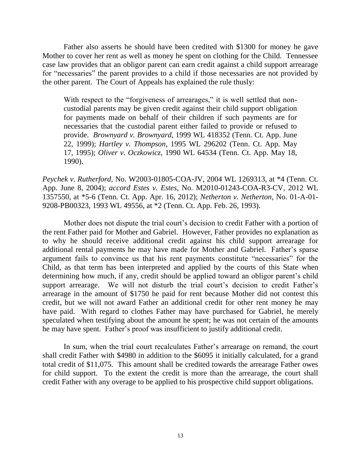Father also asserts he should have been credited with \$1300 for money he gave Mother to cover her rent as well as money he spent on clothing for the Child. Tennessee case law provides that an obligor parent can earn credit against a child support arrearage for "necessaries" the parent provides to a child if those necessaries are not provided by the other parent. The Court of Appeals has explained the rule thusly:

With respect to the "forgiveness of arrearages," it is well settled that noncustodial parents may be given credit against their child support obligation for payments made on behalf of their children if such payments are for necessaries that the custodial parent either failed to provide or refused to provide. *Brownyard v. Brownyard*, 1999 WL 418352 (Tenn. Ct. App. June 22, 1999); *Hartley v. Thompson*, 1995 WL 296202 (Tenn. Ct. App. May 17, 1995); *Oliver v. Oczkowicz*, 1990 WL 64534 (Tenn. Ct. App. May 18, 1990).

*Peychek v. Rutherford*, No. W2003-01805-COA-JV, 2004 WL 1269313, at \*4 (Tenn. Ct. App. June 8, 2004); *accord Estes v. Estes*, No. M2010-01243-COA-R3-CV, 2012 WL 1357550, at \*5-6 (Tenn. Ct. App. Apr. 16, 2012); *Netherton v. Netherton*, No. 01-A-01- 9208-PB00323, 1993 WL 49556, at \*2 (Tenn. Ct. App. Feb. 26, 1993).

Mother does not dispute the trial court's decision to credit Father with a portion of the rent Father paid for Mother and Gabriel. However, Father provides no explanation as to why he should receive additional credit against his child support arrearage for additional rental payments he may have made for Mother and Gabriel. Father"s sparse argument fails to convince us that his rent payments constitute "necessaries" for the Child, as that term has been interpreted and applied by the courts of this State when determining how much, if any, credit should be applied toward an obligor parent's child support arrearage. We will not disturb the trial court's decision to credit Father's arrearage in the amount of \$1750 he paid for rent because Mother did not contest this credit, but we will not award Father an additional credit for other rent money he may have paid. With regard to clothes Father may have purchased for Gabriel, he merely speculated when testifying about the amount he spent; he was not certain of the amounts he may have spent. Father"s proof was insufficient to justify additional credit.

In sum, when the trial court recalculates Father's arrearage on remand, the court shall credit Father with \$4980 in addition to the \$6095 it initially calculated, for a grand total credit of \$11,075. This amount shall be credited towards the arrearage Father owes for child support. To the extent the credit is more than the arrearage, the court shall credit Father with any overage to be applied to his prospective child support obligations.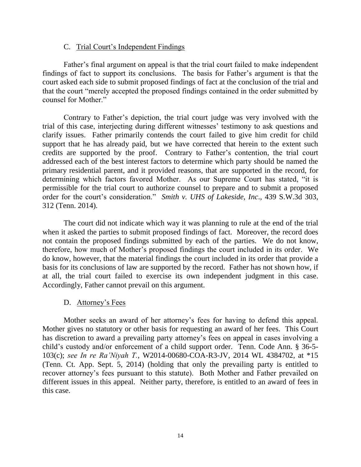### C. Trial Court"s Independent Findings

Father's final argument on appeal is that the trial court failed to make independent findings of fact to support its conclusions. The basis for Father"s argument is that the court asked each side to submit proposed findings of fact at the conclusion of the trial and that the court "merely accepted the proposed findings contained in the order submitted by counsel for Mother."

Contrary to Father"s depiction, the trial court judge was very involved with the trial of this case, interjecting during different witnesses" testimony to ask questions and clarify issues. Father primarily contends the court failed to give him credit for child support that he has already paid, but we have corrected that herein to the extent such credits are supported by the proof. Contrary to Father"s contention, the trial court addressed each of the best interest factors to determine which party should be named the primary residential parent, and it provided reasons, that are supported in the record, for determining which factors favored Mother. As our Supreme Court has stated, "it is permissible for the trial court to authorize counsel to prepare and to submit a proposed order for the court's consideration." *Smith v. UHS of Lakeside, Inc.*, 439 S.W.3d 303, 312 (Tenn. 2014).

The court did not indicate which way it was planning to rule at the end of the trial when it asked the parties to submit proposed findings of fact. Moreover, the record does not contain the proposed findings submitted by each of the parties. We do not know, therefore, how much of Mother"s proposed findings the court included in its order. We do know, however, that the material findings the court included in its order that provide a basis for its conclusions of law are supported by the record. Father has not shown how, if at all, the trial court failed to exercise its own independent judgment in this case. Accordingly, Father cannot prevail on this argument.

# D. Attorney's Fees

Mother seeks an award of her attorney"s fees for having to defend this appeal. Mother gives no statutory or other basis for requesting an award of her fees. This Court has discretion to award a prevailing party attorney's fees on appeal in cases involving a child"s custody and/or enforcement of a child support order. Tenn. Code Ann. § 36-5- 103(c); *see In re Ra'Niyah T.*, W2014-00680-COA-R3-JV, 2014 WL 4384702, at \*15 (Tenn. Ct. App. Sept. 5, 2014) (holding that only the prevailing party is entitled to recover attorney"s fees pursuant to this statute). Both Mother and Father prevailed on different issues in this appeal. Neither party, therefore, is entitled to an award of fees in this case.